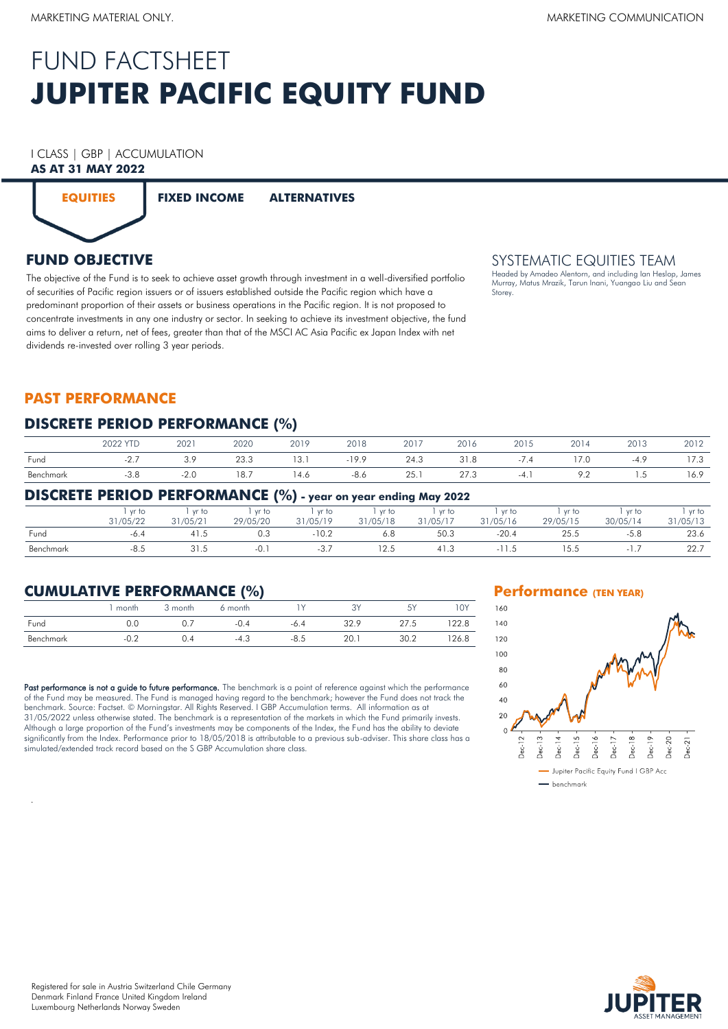# **JUPITER PACIFIC EQUITY FUND** FUND FACTSHEET

# I CLASS | GBP | ACCUMULATION

# **AS AT 31 MAY 2022**



**EQUITIES FIXED INCOME ALTERNATIVES**

# **FUND OBJECTIVE**

The objective of the Fund is to seek to achieve asset growth through investment in a well-diversified portfolio of securities of Pacific region issuers or of issuers established outside the Pacific region which have a predominant proportion of their assets or business operations in the Pacific region. It is not proposed to concentrate investments in any one industry or sector. In seeking to achieve its investment objective, the fund aims to deliver a return, net of fees, greater than that of the MSCI AC Asia Pacific ex Japan Index with net dividends re-invested over rolling 3 year periods.

# SYSTEMATIC EQUITIES TEAM

Headed by Amadeo Alentorn, and including Ian Heslop, James Murray, Matus Mrazik, Tarun Inani, Yuangao Liu and Sean Storey.

# **PAST PERFORMANCE**

### **DISCRETE PERIOD PERFORMANCE (%)**

|           | <b>2022 YTC</b>                          | 2021                                    | 2020 | 2019                                   | 2018                                    | 2017                                 | 2016           | 001E<br>ZUIJ | 2014                     | 2013                                     | 2012           |
|-----------|------------------------------------------|-----------------------------------------|------|----------------------------------------|-----------------------------------------|--------------------------------------|----------------|--------------|--------------------------|------------------------------------------|----------------|
| Fund      |                                          | າ ດ<br>د. ب                             | 23.3 | 13.1                                   | $-19.9$                                 | 24.3                                 | $\Omega$<br>ه. | $\prime$ .4  | 7.0                      | -4                                       | $ -$<br>3. / ا |
| Benchmark | - J.C<br>the contract of the contract of | -Z.U<br>the contract of the contract of | 18.7 | 4.6<br>the contract of the contract of | -8.6<br>the contract of the contract of | ZJ.<br>and the state of the state of | 27.3           | $-4$         | $\overline{\phantom{a}}$ | ں ، ا<br>the contract of the contract of | 16.9           |

### **DISCRETE PERIOD PERFORMANCE (%) - year on year ending May 2022**

|           | vr to    | vr to    | yr to    | vr to    | vr to    | yr to    | vr to    | vr to    | vr to    | vr to    |
|-----------|----------|----------|----------|----------|----------|----------|----------|----------|----------|----------|
|           | 31/05/22 | 31/05/21 | 29/05/20 | 31/05/19 | 31/05/18 | 31/05/17 | 31/05/16 | 29/05/15 | 30/05/14 | 31/05/13 |
| Fund      | -6.4     |          | 0.3      | $-10.2$  | 6.8      | 50.3     | $-20.4$  | 25.5     | -5.8     | 23.6     |
| Benchmark | $-8.5$   |          | -0.      | -ಎ       | 12.5     | 41.3     |          | 15.5     |          | 22.7     |

# **CUMULATIVE PERFORMANCE (%)**

|           | month  | ੇ month | 6 month |        |      | 5V<br>◡ | 1 O Y |
|-----------|--------|---------|---------|--------|------|---------|-------|
| Fund      | 0.0    |         | $-0.4$  | $-6.4$ | 32.9 | 27.5    | 22.8  |
| Benchmark | $-0.2$ | 0.4     | $-4.3$  | -8.5   | 20.  | 30.2    | 126.8 |

Past performance is not a guide to future performance. The benchmark is a point of reference against which the performance of the Fund may be measured. The Fund is managed having regard to the benchmark; however the Fund does not track the benchmark. Source: Factset. © Morningstar. All Rights Reserved. I GBP Accumulation terms. All information as at 31/05/2022 unless otherwise stated. The benchmark is a representation of the markets in which the Fund primarily invests. Although a large proportion of the Fund's investments may be components of the Index, the Fund has the ability to deviate significantly from the Index. Performance prior to 18/05/2018 is attributable to a previous sub-adviser. This share class has a simulated/extended track record based on the S GBP Accumulation share class.

#### **Performance (TEN YEAR)**





.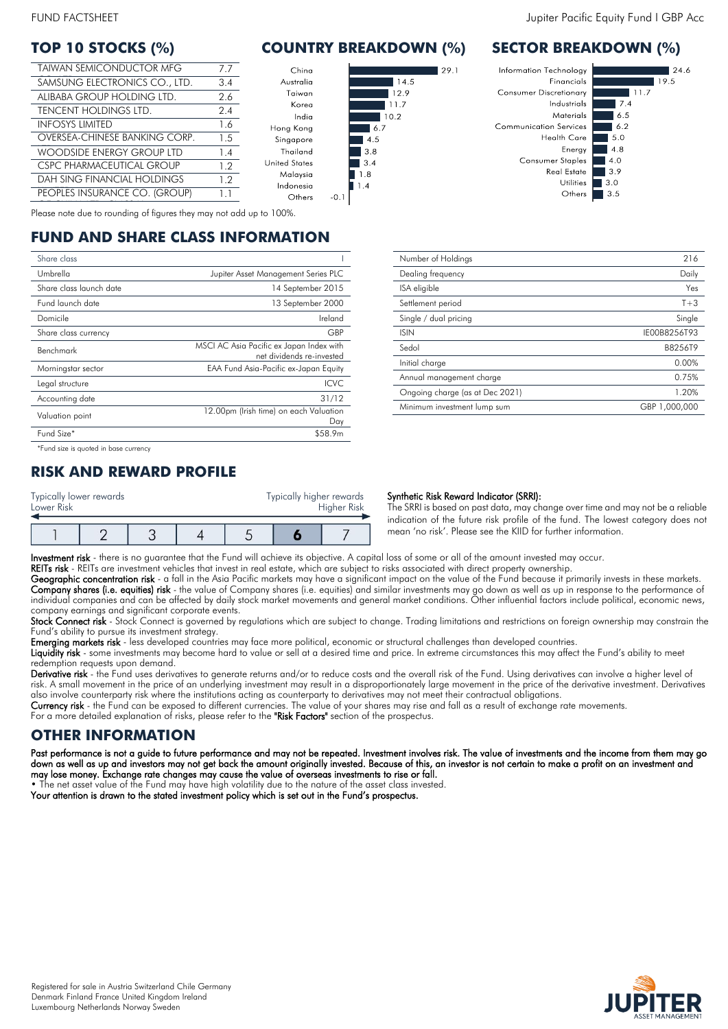| <b>TAIWAN SEMICONDUCTOR MFG</b>    | 7.7 |
|------------------------------------|-----|
| SAMSUNG ELECTRONICS CO., LTD.      | 3.4 |
| ALIBABA GROUP HOLDING LTD.         | 2.6 |
| TENCENT HOLDINGS LTD.              | 2.4 |
| <b>INFOSYS LIMITED</b>             | 1.6 |
| OVERSEA-CHINESE BANKING CORP.      | 1.5 |
| <b>WOODSIDE ENERGY GROUP LTD</b>   | 1.4 |
| CSPC PHARMACEUTICAL GROUP          | 12  |
| <b>DAH SING FINANCIAL HOLDINGS</b> | 1.2 |
| PEOPLES INSURANCE CO. (GROUP)      | 11  |

# **TOP 10 STOCKS (%) COUNTRY BREAKDOWN (%) SECTOR BREAKDOWN (%)**

 $291$ 



Malaysia Indonesia

Others  $-0.1$ 

OF CHINA LTD. CLASS H Please note due to rounding of figures they may not add up to 100%.

# **FUND AND SHARE CLASS INFORMATION**

| Share class                           |                                                                       |
|---------------------------------------|-----------------------------------------------------------------------|
| Umbrella                              | Jupiter Asset Management Series PLC                                   |
| Share class launch date               | 14 September 2015                                                     |
| Fund launch date                      | 13 September 2000                                                     |
| Domicile                              | Ireland                                                               |
| Share class currency                  | GBP                                                                   |
| Benchmark                             | MSCI AC Asia Pacific ex Japan Index with<br>net dividends re-invested |
| Morningstar sector                    | EAA Fund Asia-Pacific ex-Japan Equity                                 |
| Legal structure                       | ICVC.                                                                 |
| Accounting date                       | 31/12                                                                 |
| Valuation point                       | 12.00pm (Irish time) on each Valuation<br>Day                         |
| Fund Size*                            | \$58.9m                                                               |
| *Fund size is quoted in base currency |                                                                       |

# **RISK AND REWARD PROFILE**

| Typically lower rewards<br>Lower Risk |  |  | Typically higher rewards | Higher Risk |
|---------------------------------------|--|--|--------------------------|-------------|
|                                       |  |  |                          |             |



| Number of Holdings              | 216           |
|---------------------------------|---------------|
| Dealing frequency               | Daily         |
| ISA eligible                    | Yes           |
| Settlement period               | $T+3$         |
| Single / dual pricing           | Single        |
| <b>ISIN</b>                     | IE00B8256T93  |
| Sedol                           | B8256T9       |
| Initial charge                  | 0.00%         |
| Annual management charge        | 0.75%         |
| Ongoing charge (as at Dec 2021) | 1.20%         |
| Minimum investment lump sum     | GBP 1,000,000 |

#### Synthetic Risk Reward Indicator (SRRI):

The SRRI is based on past data, may change over time and may not be a reliable indication of the future risk profile of the fund. The lowest category does not mean 'no risk'. Please see the KIID for further information.

Investment risk - there is no guarantee that the Fund will achieve its objective. A capital loss of some or all of the amount invested may occur.

REITs risk - REITs are investment vehicles that invest in real estate, which are subject to risks associated with direct property ownership.

Geographic concentration risk - a fall in the Asia Pacific markets may have a significant impact on the value of the Fund because it primarily invests in these markets. **Company shares (i.e. equities) risk** - the value of Company shares (i.e. equities) and similar investments may go down as well as up in response to the performance of individual companies and can be affected by daily stock market movements and general market conditions. Other influential factors include political, economic news, company earnings and significant corporate events.

Stock Connect risk - Stock Connect is governed by regulations which are subject to change. Trading limitations and restrictions on foreign ownership may constrain the Fund's ability to pursue its investment strategy.

Emerging markets risk - less developed countries may face more political, economic or structural challenges than developed countries.

Liquidity risk - some investments may become hard to value or sell at a desired time and price. In extreme circumstances this may affect the Fund's ability to meet redemption requests upon demand.

**Derivative risk** - the Fund uses derivatives to generate returns and/or to reduce costs and the overall risk of the Fund. Using derivatives can involve a higher level of risk. A small movement in the price of an underlying investment may result in a disproportionately large movement in the price of the derivative investment. Derivatives also involve counterparty risk where the institutions acting as counterparty to derivatives may not meet their contractual obligations.

Currency risk - the Fund can be exposed to different currencies. The value of your shares may rise and fall as a result of exchange rate movements.

For a more detailed explanation of risks, please refer to the **"Risk Factors"** section of the prospectus.

# **OTHER INFORMATION**

Past performance is not a guide to future performance and may not be repeated. Investment involves risk. The value of investments and the income from them may go down as well as up and investors may not get back the amount originally invested. Because of this, an investor is not certain to make a profit on an investment and may lose money. Exchange rate changes may cause the value of overseas investments to rise or fall.

• The net asset value of the Fund may have high volatility due to the nature of the asset class invested.



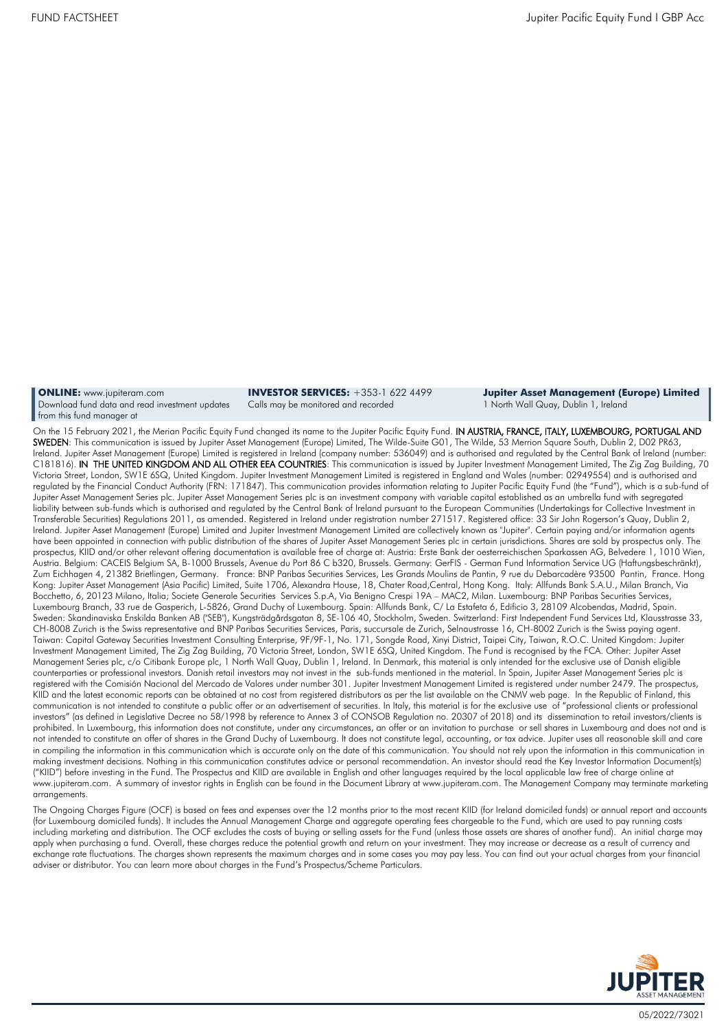**ONLINE:** [www.jupiteram.com](http://www.jupiteram.com/) Download fund data and read investment updates from this fund manager at

**INVESTOR SERVICES:** +353-1 622 4499 Calls may be monitored and recorded

**Jupiter Asset Management (Europe) Limited** 1 North Wall Quay, Dublin 1, Ireland

On the 15 February 2021, the Merian Pacific Equity Fund changed its name to the Jupiter Pacific Equity Fund. IN AUSTRIA, FRANCE, ITALY, LUXEMBOURG, PORTUGAL AND SWEDEN: This communication is issued by Jupiter Asset Management (Europe) Limited, The Wilde-Suite G01, The Wilde, 53 Merrion Square South, Dublin 2, D02 PR63, Ireland. Jupiter Asset Management (Europe) Limited is registered in Ireland (company number: 536049) and is authorised and regulated by the Central Bank of Ireland (number: C181816). IN THE UNITED KINGDOM AND ALL OTHER EEA COUNTRIES: This communication is issued by Jupiter Investment Management Limited, The Zig Zag Building, 70 Victoria Street, London, SW1E 6SQ, United Kingdom. Jupiter Investment Management Limited is registered in England and Wales (number: 02949554) and is authorised and regulated by the Financial Conduct Authority (FRN: 171847). This communication provides information relating to Jupiter Pacific Equity Fund (the "Fund"), which is a sub-fund of Jupiter Asset Management Series plc. Jupiter Asset Management Series plc is an investment company with variable capital established as an umbrella fund with segregated liability between sub-funds which is authorised and regulated by the Central Bank of Ireland pursuant to the European Communities (Undertakings for Collective Investment in Transferable Securities) Regulations 2011, as amended. Registered in Ireland under registration number 271517. Registered office: 33 Sir John Rogerson's Quay, Dublin 2, Ireland. Jupiter Asset Management (Europe) Limited and Jupiter Investment Management Limited are collectively known as "Jupiter". Certain paying and/or information agents have been appointed in connection with public distribution of the shares of Jupiter Asset Management Series plc in certain jurisdictions. Shares are sold by prospectus only. The prospectus, KIID and/or other relevant offering documentation is available free of charge at: Austria: Erste Bank der oesterreichischen Sparkassen AG, Belvedere 1, 1010 Wien, Austria. Belgium: CACEIS Belgium SA, B-1000 Brussels, Avenue du Port 86 C b320, Brussels. Germany: GerFIS - German Fund Information Service UG (Haftungsbeschränkt), Zum Eichhagen 4, 21382 Brietlingen, Germany. France: BNP Paribas Securities Services, Les Grands Moulins de Pantin, 9 rue du Debarcadère 93500 Pantin, France. Hong Kong: Jupiter Asset Management (Asia Pacific) Limited, Suite 1706, Alexandra House, 18, Chater Road,Central, Hong Kong. Italy: Allfunds Bank S.A.U., Milan Branch, Via Bocchetto, 6, 20123 Milano, Italia; Societe Generale Securities Services S.p.A, Via Benigno Crespi 19A – MAC2, Milan. Luxembourg: BNP Paribas Securities Services, Luxembourg Branch, 33 rue de Gasperich, L-5826, Grand Duchy of Luxembourg. Spain: Allfunds Bank, C/ La Estafeta 6, Edificio 3, 28109 Alcobendas, Madrid, Spain. Sweden: Skandinaviska Enskilda Banken AB ("SEB"), Kungsträdgårdsgatan 8, SE-106 40, Stockholm, Sweden. Switzerland: First Independent Fund Services Ltd, Klausstrasse 33, CH-8008 Zurich is the Swiss representative and BNP Paribas Securities Services, Paris, succursale de Zurich, Selnaustrasse 16, CH-8002 Zurich is the Swiss paying agent. Taiwan: Capital Gateway Securities Investment Consulting Enterprise, 9F/9F-1, No. 171, Songde Road, Xinyi District, Taipei City, Taiwan, R.O.C. United Kingdom: Jupiter Investment Management Limited, The Zig Zag Building, 70 Victoria Street, London, SW1E 6SQ, United Kingdom. The Fund is recognised by the FCA. Other: Jupiter Asset Management Series plc, c/o Citibank Europe plc, 1 North Wall Quay, Dublin 1, Ireland. In Denmark, this material is only intended for the exclusive use of Danish eligible counterparties or professional investors. Danish retail investors may not invest in the sub-funds mentioned in the material. In Spain, Jupiter Asset Management Series plc is registered with the Comisión Nacional del Mercado de Valores under number 301. Jupiter Investment Management Limited is registered under number 2479. The prospectus, KIID and the latest economic reports can be obtained at no cost from registered distributors as per the list available on the CNMV web page. In the Republic of Finland, this communication is not intended to constitute a public offer or an advertisement of securities. In Italy, this material is for the exclusive use of "professional clients or professional investors" (as defined in Legislative Decree no 58/1998 by reference to Annex 3 of CONSOB Regulation no. 20307 of 2018) and its dissemination to retail investors/clients is prohibited. In Luxembourg, this information does not constitute, under any circumstances, an offer or an invitation to purchase or sell shares in Luxembourg and does not and is not intended to constitute an offer of shares in the Grand Duchy of Luxembourg. It does not constitute legal, accounting, or tax advice. Jupiter uses all reasonable skill and care in compiling the information in this communication which is accurate only on the date of this communication. You should not rely upon the information in this communication in making investment decisions. Nothing in this communication constitutes advice or personal recommendation. An investor should read the Key Investor Information Document(s) ("KIID") before investing in the Fund. The Prospectus and KIID are available in English and other languages required by the local applicable law free of charge online at www.jupiteram.com. A summary of investor rights in English can be found in the Document Library at www.jupiteram.com. The Management Company may terminate marketing arrangements.

The Ongoing Charges Figure (OCF) is based on fees and expenses over the 12 months prior to the most recent KIID (for Ireland domiciled funds) or annual report and accounts (for Luxembourg domiciled funds). It includes the Annual Management Charge and aggregate operating fees chargeable to the Fund, which are used to pay running costs including marketing and distribution. The OCF excludes the costs of buying or selling assets for the Fund (unless those assets are shares of another fund). An initial charge may apply when purchasing a fund. Overall, these charges reduce the potential growth and return on your investment. They may increase or decrease as a result of currency and exchange rate fluctuations. The charges shown represents the maximum charges and in some cases you may pay less. You can find out your actual charges from your financial adviser or distributor. You can learn more about charges in the Fund's Prospectus/Scheme Particulars.